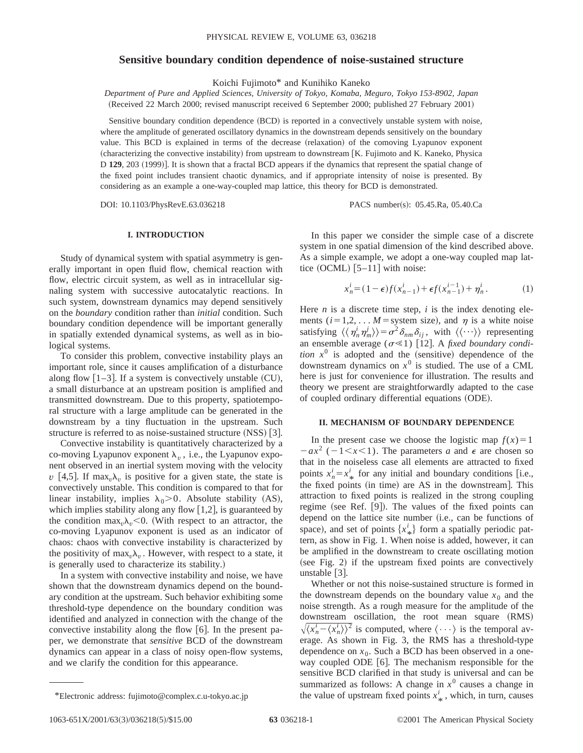# **Sensitive boundary condition dependence of noise-sustained structure**

Koichi Fujimoto\* and Kunihiko Kaneko

*Department of Pure and Applied Sciences, University of Tokyo, Komaba, Meguro, Tokyo 153-8902, Japan* (Received 22 March 2000; revised manuscript received 6 September 2000; published 27 February 2001)

Sensitive boundary condition dependence (BCD) is reported in a convectively unstable system with noise, where the amplitude of generated oscillatory dynamics in the downstream depends sensitively on the boundary value. This BCD is explained in terms of the decrease (relaxation) of the comoving Lyapunov exponent  $(characterizing the convective instability)$  from upstream to downstream  $[K.$  Fujimoto and K. Kaneko, Physica D **129**, 203 (1999). It is shown that a fractal BCD appears if the dynamics that represent the spatial change of the fixed point includes transient chaotic dynamics, and if appropriate intensity of noise is presented. By considering as an example a one-way-coupled map lattice, this theory for BCD is demonstrated.

DOI: 10.1103/PhysRevE.63.036218 PACS number(s): 05.45.Ra, 05.40.Ca

## **I. INTRODUCTION**

Study of dynamical system with spatial asymmetry is generally important in open fluid flow, chemical reaction with flow, electric circuit system, as well as in intracellular signaling system with successive autocatalytic reactions. In such system, downstream dynamics may depend sensitively on the *boundary* condition rather than *initial* condition. Such boundary condition dependence will be important generally in spatially extended dynamical systems, as well as in biological systems.

To consider this problem, convective instability plays an important role, since it causes amplification of a disturbance along flow  $[1-3]$ . If a system is convectively unstable (CU), a small disturbance at an upstream position is amplified and transmitted downstream. Due to this property, spatiotemporal structure with a large amplitude can be generated in the downstream by a tiny fluctuation in the upstream. Such structure is referred to as noise-sustained structure  $(NSS)$  [3].

Convective instability is quantitatively characterized by a co-moving Lyapunov exponent  $\lambda_v$ , i.e., the Lyapunov exponent observed in an inertial system moving with the velocity *v* [4,5]. If max<sub>*v*</sub> $\lambda$ *<sub><i>v*</sub> is positive for a given state, the state is convectively unstable. This condition is compared to that for linear instability, implies  $\lambda_0 > 0$ . Absolute stability (AS), which implies stability along any flow  $[1,2]$ , is guaranteed by the condition max<sub>*v*</sub> $\lambda$ <sub>*v*</sub> < 0. (With respect to an attractor, the co-moving Lyapunov exponent is used as an indicator of chaos: chaos with convective instability is characterized by the positivity of max<sub>*v*</sub> $\lambda$ <sub>*v*</sub>. However, with respect to a state, it is generally used to characterize its stability.)

In a system with convective instability and noise, we have shown that the downstream dynamics depend on the boundary condition at the upstream. Such behavior exhibiting some threshold-type dependence on the boundary condition was identified and analyzed in connection with the change of the convective instability along the flow  $\lceil 6 \rceil$ . In the present paper, we demonstrate that *sensitive* BCD of the downstream dynamics can appear in a class of noisy open-flow systems, and we clarify the condition for this appearance.

In this paper we consider the simple case of a discrete system in one spatial dimension of the kind described above. As a simple example, we adopt a one-way coupled map lattice  $(OCML)$  [5–11] with noise:

$$
x_n^i = (1 - \epsilon)f(x_{n-1}^i) + \epsilon f(x_{n-1}^{i-1}) + \eta_n^i.
$$
 (1)

Here  $n$  is a discrete time step,  $i$  is the index denoting elements ( $i=1,2,...$  *M* = system size), and  $\eta$  is a white noise satisfying  $\langle \langle \eta_n^i \eta_m^j \rangle \rangle = \sigma^2 \delta_{nm} \delta_{ij}$ , with  $\langle \langle \cdots \rangle \rangle$  representing an ensemble average  $(\sigma \ll 1)$  [12]. A *fixed boundary condition*  $x^0$  is adopted and the (sensitive) dependence of the downstream dynamics on  $x^0$  is studied. The use of a CML here is just for convenience for illustration. The results and theory we present are straightforwardly adapted to the case of coupled ordinary differential equations (ODE).

## **II. MECHANISM OF BOUNDARY DEPENDENCE**

In the present case we choose the logistic map  $f(x) = 1$  $-ax^2$  ( $-1 < x < 1$ ). The parameters *a* and  $\epsilon$  are chosen so that in the noiseless case all elements are attracted to fixed points  $x_n^i = x_*^i$  for any initial and boundary conditions [i.e., points  $x_n - x_*$  for any limitar and boundary conditions [i.e.,] attraction to fixed points is realized in the strong coupling regime (see Ref.  $[9]$ ). The values of the fixed points can depend on the lattice site number (i.e., can be functions of space), and set of points  $\{x^i_{\ast}\}\$  form a spatially periodic patspace), and set of points  $\{x_{*j}\}$  form a spatially performe partern, as show in Fig. 1. When noise is added, however, it can be amplified in the downstream to create oscillating motion  $(see Fig. 2)$  if the upstream fixed points are convectively unstable  $\lceil 3 \rceil$ .

Whether or not this noise-sustained structure is formed in the downstream depends on the boundary value  $x_0$  and the noise strength. As a rough measure for the amplitude of the downstream oscillation, the root mean square (RMS)  $\sqrt{\langle x_n^i - \langle x_n^i \rangle \rangle^2}$  is computed, where  $\langle \cdots \rangle$  is the temporal average. As shown in Fig. 3, the RMS has a threshold-type dependence on  $x_0$ . Such a BCD has been observed in a oneway coupled ODE  $[6]$ . The mechanism responsible for the sensitive BCD clarified in that study is universal and can be summarized as follows: A change in  $x^0$  causes a change in \*Electronic address: fujimoto@complex.c.u-tokyo.ac.jp the value of upstream fixed points  $x^i_{\ast}$ , which, in turn, causes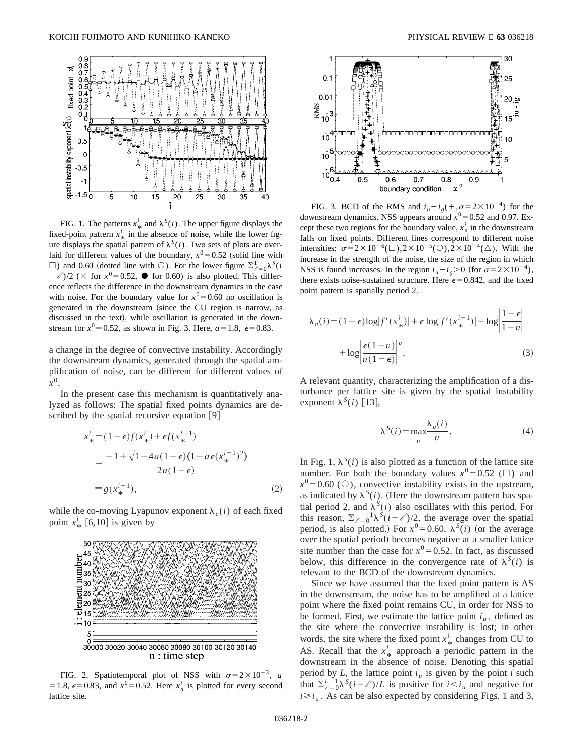

FIG. 1. The patterns  $x^i_{\ast}$  and  $\lambda^S(i)$ . The upper figure displays the fixed-point pattern  $x^i_{\ast}$  in the absence of noise, while the lower fig- $\alpha$  and  $\alpha$  and  $\alpha$  is the spatial pattern of  $\lambda^{S}(i)$ . Two sets of plots are overlaid for different values of the boundary,  $x^0 = 0.52$  (solid line with  $\Box$ ) and 0.60 (dotted line with  $\bigcirc$ ). For the lower figure  $\sum_{\ell=0}^{1} \lambda^{S}(i)$  $-\ell$ )/2 ( $\times$  for  $x^0$ =0.52,  $\bullet$  for 0.60) is also plotted. This difference reflects the difference in the downstream dynamics in the case with noise. For the boundary value for  $x^0 = 0.60$  no oscillation is generated in the downstream (since the CU region is narrow, as discussed in the text), while oscillation is generated in the downstream for  $x^0$ =0.52, as shown in Fig. 3. Here,  $a=1.8$ ,  $\epsilon$ =0.83.

a change in the degree of convective instability. Accordingly the downstream dynamics, generated through the spatial amplification of noise, can be different for different values of *x*0.

In the present case this mechanism is quantitatively analyzed as follows: The spatial fixed points dynamics are described by the spatial recursive equation  $[9]$ 

$$
x_{*}^{i} = (1 - \epsilon) f(x_{*}^{i}) + \epsilon f(x_{*}^{i-1})
$$
  
= 
$$
\frac{-1 + \sqrt{1 + 4a(1 - \epsilon)(1 - a\epsilon(x_{*}^{i-1})^{2})}}{2a(1 - \epsilon)}
$$
  
= 
$$
g(x_{*}^{i-1}),
$$
 (2)

while the co-moving Lyapunov exponent  $\lambda_{v}(i)$  of each fixed point  $x^i_{\ast}$  [6,10] is given by



FIG. 2. Spatiotemporal plot of NSS with  $\sigma=2\times10^{-3}$ , *a* = 1.8,  $\epsilon$ =0.83, and  $x^0$ =0.52. Here  $x_n^i$  is plotted for every second lattice site.



FIG. 3. BCD of the RMS and  $i_u - i_g(+,\sigma=2\times10^{-4})$  for the downstream dynamics. NSS appears around  $x^0$  = 0.52 and 0.97. Except these two regions for the boundary value,  $x_n^i$  in the downstream falls on fixed points. Different lines correspond to different noise intensities:  $\sigma = 2 \times 10^{-6}$ ( $\Box$ ),2 $\times 10^{-5}$ ( $\odot$ ),2 $\times 10^{-4}$ ( $\triangle$ ). With the increase in the strength of the noise, the size of the region in which NSS is found increases. In the region  $i_u - i_g > 0$  (for  $\sigma = 2 \times 10^{-4}$ ), there exists noise-sustained structure. Here  $\epsilon$ =0.842, and the fixed point pattern is spatially period 2.

$$
\lambda_v(i) = (1 - \epsilon) \log |f'(x^i) + \epsilon \log |f'(x^{i-1})| + \log \left| \frac{1 - \epsilon}{1 - v} \right|
$$

$$
+ \log \left| \frac{\epsilon (1 - v)}{v (1 - \epsilon)} \right|^v.
$$
(3)

A relevant quantity, characterizing the amplification of a disturbance per lattice site is given by the spatial instability exponent  $\lambda^{S}(i)$  [13],

$$
\lambda^{S}(i) = \max_{v} \frac{\lambda_{v}(i)}{v}.
$$
 (4)

In Fig. 1,  $\lambda^{S}(i)$  is also plotted as a function of the lattice site number. For both the boundary values  $x^0$  = 0.52 ( $\Box$ ) and  $x^0$ =0.60 ( $\circ$ ), convective instability exists in the upstream, as indicated by  $\lambda^{S}(i)$ . (Here the downstream pattern has spatial period 2, and  $\lambda^{S}(i)$  also oscillates with this period. For this reason,  $\sum_{\ell=0}^{l} \lambda^{S}(i-\ell)/2$ , the average over the spatial period, is also plotted.) For  $x^0 = 0.60$ ,  $\lambda^s(i)$  (or the average over the spatial period) becomes negative at a smaller lattice site number than the case for  $x^0$ =0.52. In fact, as discussed below, this difference in the convergence rate of  $\lambda^{S}(i)$  is relevant to the BCD of the downstream dynamics.

Since we have assumed that the fixed point pattern is AS in the downstream, the noise has to be amplified at a lattice point where the fixed point remains CU, in order for NSS to be formed. First, we estimate the lattice point  $i<sub>u</sub>$ , defined as the site where the convective instability is lost; in other words, the site where the fixed point  $x^i_{\ast}$  changes from CU to  $\Lambda S$ . Bosell, that the  $y^i$  connection arised is nottern in the AS. Recall that the  $x^i_{\star}$  approach a periodic pattern in the A.S. Recall that the  $x_*$  approach a periodic pattern in the downstream in the absence of noise. Denoting this spatial period by  $L$ , the lattice point  $i<sub>u</sub>$  is given by the point  $i$  such that  $\sum_{\ell=0}^{L-1} \lambda^{S}(i-\ell)/L$  is positive for  $i < i_u$  and negative for  $i \geq i_u$ . As can be also expected by considering Figs. 1 and 3,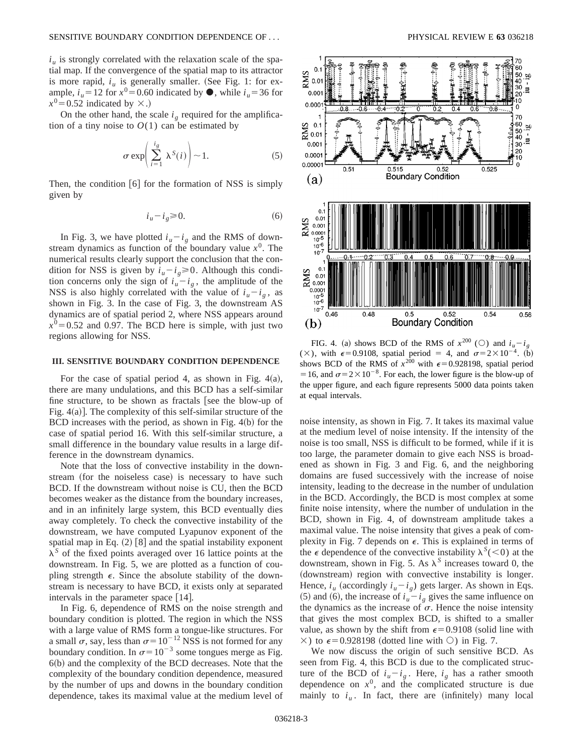$i<sub>u</sub>$  is strongly correlated with the relaxation scale of the spatial map. If the convergence of the spatial map to its attractor is more rapid,  $i_{\mu}$  is generally smaller. (See Fig. 1: for example,  $i_u = 12$  for  $x^0 = 0.60$  indicated by  $\bullet$ , while  $i_u = 36$  for  $x^0$ =0.52 indicated by  $\times$ .)

On the other hand, the scale  $i_g$  required for the amplification of a tiny noise to  $O(1)$  can be estimated by

$$
\sigma \exp\left(\sum_{i=1}^{i_g} \lambda^S(i)\right) \sim 1. \tag{5}
$$

Then, the condition  $[6]$  for the formation of NSS is simply given by

$$
i_u - i_g \ge 0. \tag{6}
$$

In Fig. 3, we have plotted  $i_u - i_g$  and the RMS of downstream dynamics as function of the boundary value  $x<sup>0</sup>$ . The numerical results clearly support the conclusion that the condition for NSS is given by  $i_u - i_g \ge 0$ . Although this condition concerns only the sign of  $i_u - i_g$ , the amplitude of the NSS is also highly correlated with the value of  $i_u - i_g$ , as shown in Fig. 3. In the case of Fig. 3, the downstream AS dynamics are of spatial period 2, where NSS appears around  $x^0$ =0.52 and 0.97. The BCD here is simple, with just two regions allowing for NSS.

## **III. SENSITIVE BOUNDARY CONDITION DEPENDENCE**

For the case of spatial period 4, as shown in Fig.  $4(a)$ , there are many undulations, and this BCD has a self-similar fine structure, to be shown as fractals [see the blow-up of Fig.  $4(a)$ ]. The complexity of this self-similar structure of the BCD increases with the period, as shown in Fig.  $4(b)$  for the case of spatial period 16. With this self-similar structure, a small difference in the boundary value results in a large difference in the downstream dynamics.

Note that the loss of convective instability in the downstream (for the noiseless case) is necessary to have such BCD. If the downstream without noise is CU, then the BCD becomes weaker as the distance from the boundary increases, and in an infinitely large system, this BCD eventually dies away completely. To check the convective instability of the downstream, we have computed Lyapunov exponent of the spatial map in Eq.  $(2)$  [8] and the spatial instability exponent  $\lambda^S$  of the fixed points averaged over 16 lattice points at the downstream. In Fig. 5, we are plotted as a function of coupling strength  $\epsilon$ . Since the absolute stability of the downstream is necessary to have BCD, it exists only at separated intervals in the parameter space  $[14]$ .

In Fig. 6, dependence of RMS on the noise strength and boundary condition is plotted. The region in which the NSS with a large value of RMS form a tongue-like structures. For a small  $\sigma$ , say, less than  $\sigma$ = 10<sup>-12</sup> NSS is not formed for any boundary condition. In  $\sigma = 10^{-3}$  some tongues merge as Fig.  $6(b)$  and the complexity of the BCD decreases. Note that the complexity of the boundary condition dependence, measured by the number of ups and downs in the boundary condition dependence, takes its maximal value at the medium level of



FIG. 4. (a) shows BCD of the RMS of  $x^{200}$  (O) and  $i_u - i_g$ ( $\times$ ), with  $\epsilon$ =0.9108, spatial period = 4, and  $\sigma$ =2 $\times$ 10<sup>-4</sup>. (b) shows BCD of the RMS of  $x^{200}$  with  $\epsilon$ =0.928198, spatial period = 16, and  $\sigma$ = 2 × 10<sup>-8</sup>. For each, the lower figure is the blow-up of the upper figure, and each figure represents 5000 data points taken at equal intervals.

noise intensity, as shown in Fig. 7. It takes its maximal value at the medium level of noise intensity. If the intensity of the noise is too small, NSS is difficult to be formed, while if it is too large, the parameter domain to give each NSS is broadened as shown in Fig. 3 and Fig. 6, and the neighboring domains are fused successively with the increase of noise intensity, leading to the decrease in the number of undulation in the BCD. Accordingly, the BCD is most complex at some finite noise intensity, where the number of undulation in the BCD, shown in Fig. 4, of downstream amplitude takes a maximal value. The noise intensity that gives a peak of complexity in Fig. 7 depends on  $\epsilon$ . This is explained in terms of the  $\epsilon$  dependence of the convective instability  $\lambda^{S}(\leq 0)$  at the downstream, shown in Fig. 5. As  $\lambda^S$  increases toward 0, the (downstream) region with convective instability is longer. Hence,  $i_{u}$  (accordingly  $i_{u}-i_{g}$ ) gets larger. As shown in Eqs. (5) and (6), the increase of  $i_u - i_g$  gives the same influence on the dynamics as the increase of  $\sigma$ . Hence the noise intensity that gives the most complex BCD, is shifted to a smaller value, as shown by the shift from  $\epsilon$ =0.9108 (solid line with  $\times$ ) to  $\epsilon$ =0.928198 (dotted line with  $\circ$ ) in Fig. 7.

We now discuss the origin of such sensitive BCD. As seen from Fig. 4, this BCD is due to the complicated structure of the BCD of  $i_u - i_g$ . Here,  $i_g$  has a rather smooth dependence on  $x^0$ , and the complicated structure is due mainly to  $i_u$ . In fact, there are (infinitely) many local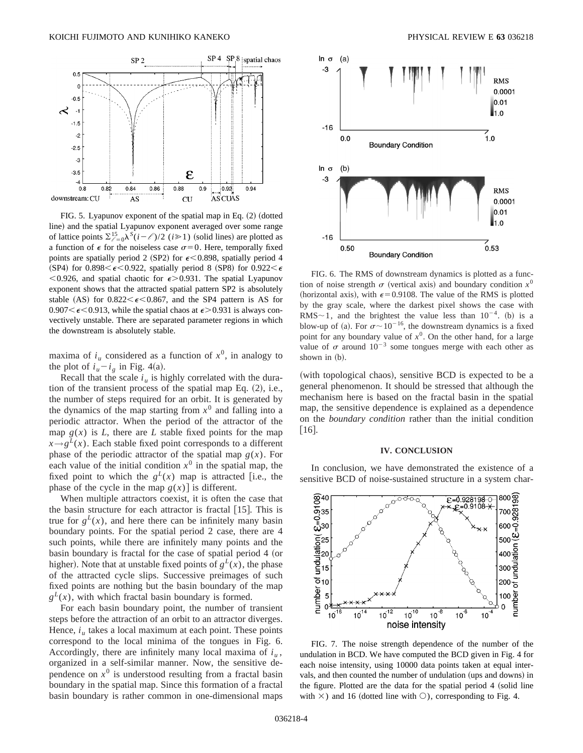

FIG. 5. Lyapunov exponent of the spatial map in Eq.  $(2)$  (dotted line) and the spatial Lyapunov exponent averaged over some range of lattice points  $\sum_{\ell=0}^{15} \lambda^{5}(i-\ell)/2$  (*i* $\geq 1$ ) (solid lines) are plotted as a function of  $\epsilon$  for the noiseless case  $\sigma=0$ . Here, temporally fixed points are spatially period 2 (SP2) for  $\epsilon$ <0.898, spatially period 4 (SP4) for 0.898 $\leq \epsilon$ <0.922, spatially period 8 (SP8) for 0.922 $\leq \epsilon$  $< 0.926$ , and spatial chaotic for  $\epsilon > 0.931$ . The spatial Lyapunov exponent shows that the attracted spatial pattern SP2 is absolutely stable (AS) for  $0.822 < \epsilon < 0.867$ , and the SP4 pattern is AS for  $0.907<\epsilon<0.913$ , while the spatial chaos at  $\epsilon>0.931$  is always convectively unstable. There are separated parameter regions in which the downstream is absolutely stable.

maxima of  $i<sub>u</sub>$  considered as a function of  $x<sup>0</sup>$ , in analogy to the plot of  $i_u - i_g$  in Fig. 4(a).

Recall that the scale  $i<sub>u</sub>$  is highly correlated with the duration of the transient process of the spatial map Eq.  $(2)$ , i.e., the number of steps required for an orbit. It is generated by the dynamics of the map starting from  $x^0$  and falling into a periodic attractor. When the period of the attractor of the map  $g(x)$  is *L*, there are *L* stable fixed points for the map  $x \rightarrow g^L(x)$ . Each stable fixed point corresponds to a different phase of the periodic attractor of the spatial map  $g(x)$ . For each value of the initial condition  $x^0$  in the spatial map, the fixed point to which the  $g^L(x)$  map is attracted [i.e., the phase of the cycle in the map  $g(x)$  is different.

When multiple attractors coexist, it is often the case that the basin structure for each attractor is fractal  $[15]$ . This is true for  $g^L(x)$ , and here there can be infinitely many basin boundary points. For the spatial period 2 case, there are 4 such points, while there are infinitely many points and the basin boundary is fractal for the case of spatial period 4 (or higher). Note that at unstable fixed points of  $g^L(x)$ , the phase of the attracted cycle slips. Successive preimages of such fixed points are nothing but the basin boundary of the map  $g^{L}(x)$ , with which fractal basin boundary is formed.

For each basin boundary point, the number of transient steps before the attraction of an orbit to an attractor diverges. Hence,  $i<sub>u</sub>$  takes a local maximum at each point. These points correspond to the local minima of the tongues in Fig. 6. Accordingly, there are infinitely many local maxima of  $i<sub>u</sub>$ , organized in a self-similar manner. Now, the sensitive dependence on  $x^0$  is understood resulting from a fractal basin boundary in the spatial map. Since this formation of a fractal basin boundary is rather common in one-dimensional maps



FIG. 6. The RMS of downstream dynamics is plotted as a function of noise strength  $\sigma$  (vertical axis) and boundary condition  $x^0$ (horizontal axis), with  $\epsilon$ =0.9108. The value of the RMS is plotted by the gray scale, where the darkest pixel shows the case with RMS $\sim$ 1, and the brightest the value less than  $10^{-4}$ . (b) is a blow-up of (a). For  $\sigma \sim 10^{-16}$ , the downstream dynamics is a fixed point for any boundary value of  $x^0$ . On the other hand, for a large value of  $\sigma$  around  $10^{-3}$  some tongues merge with each other as shown in  $(b)$ .

(with topological chaos), sensitive BCD is expected to be a general phenomenon. It should be stressed that although the mechanism here is based on the fractal basin in the spatial map, the sensitive dependence is explained as a dependence on the *boundary condition* rather than the initial condition  $\lceil 16 \rceil$ .

#### **IV. CONCLUSION**

In conclusion, we have demonstrated the existence of a sensitive BCD of noise-sustained structure in a system char-



FIG. 7. The noise strength dependence of the number of the undulation in BCD. We have computed the BCD given in Fig. 4 for each noise intensity, using 10000 data points taken at equal intervals, and then counted the number of undulation (ups and downs) in the figure. Plotted are the data for the spatial period 4 (solid line with  $\times$ ) and 16 (dotted line with  $\circ$ ), corresponding to Fig. 4.